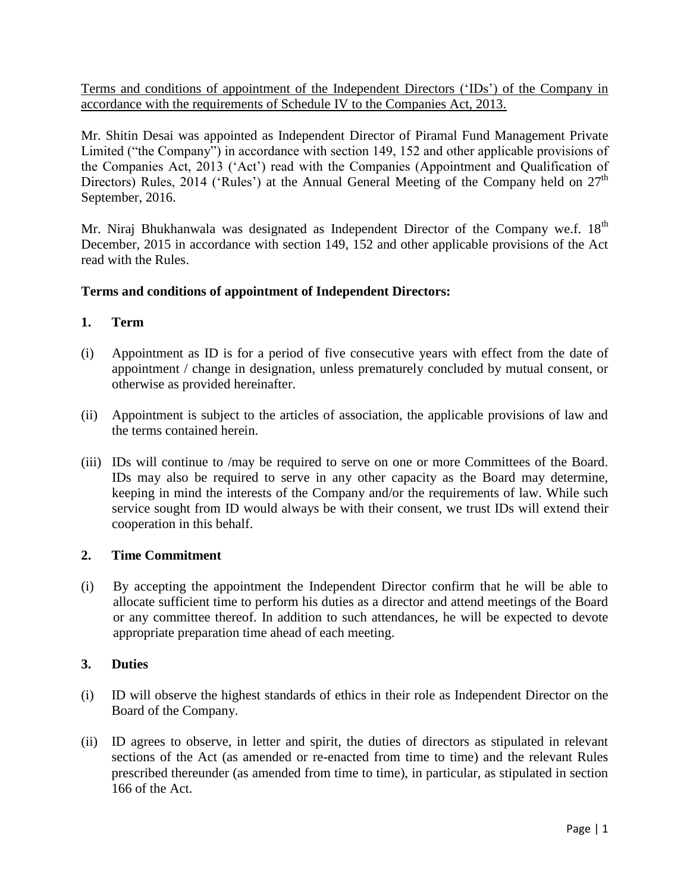Terms and conditions of appointment of the Independent Directors ("IDs") of the Company in accordance with the requirements of Schedule IV to the Companies Act, 2013.

Mr. Shitin Desai was appointed as Independent Director of Piramal Fund Management Private Limited ("the Company") in accordance with section 149, 152 and other applicable provisions of the Companies Act, 2013 ("Act") read with the Companies (Appointment and Qualification of Directors) Rules, 2014 ('Rules') at the Annual General Meeting of the Company held on  $27<sup>th</sup>$ September, 2016.

Mr. Niraj Bhukhanwala was designated as Independent Director of the Company we.f. 18<sup>th</sup> December, 2015 in accordance with section 149, 152 and other applicable provisions of the Act read with the Rules.

# **Terms and conditions of appointment of Independent Directors:**

# **1. Term**

- (i) Appointment as ID is for a period of five consecutive years with effect from the date of appointment / change in designation, unless prematurely concluded by mutual consent, or otherwise as provided hereinafter.
- (ii) Appointment is subject to the articles of association, the applicable provisions of law and the terms contained herein.
- (iii) IDs will continue to /may be required to serve on one or more Committees of the Board. IDs may also be required to serve in any other capacity as the Board may determine, keeping in mind the interests of the Company and/or the requirements of law. While such service sought from ID would always be with their consent, we trust IDs will extend their cooperation in this behalf.

## **2. Time Commitment**

(i) By accepting the appointment the Independent Director confirm that he will be able to allocate sufficient time to perform his duties as a director and attend meetings of the Board or any committee thereof. In addition to such attendances, he will be expected to devote appropriate preparation time ahead of each meeting.

## **3. Duties**

- (i) ID will observe the highest standards of ethics in their role as Independent Director on the Board of the Company.
- (ii) ID agrees to observe, in letter and spirit, the duties of directors as stipulated in relevant sections of the Act (as amended or re-enacted from time to time) and the relevant Rules prescribed thereunder (as amended from time to time), in particular, as stipulated in section 166 of the Act.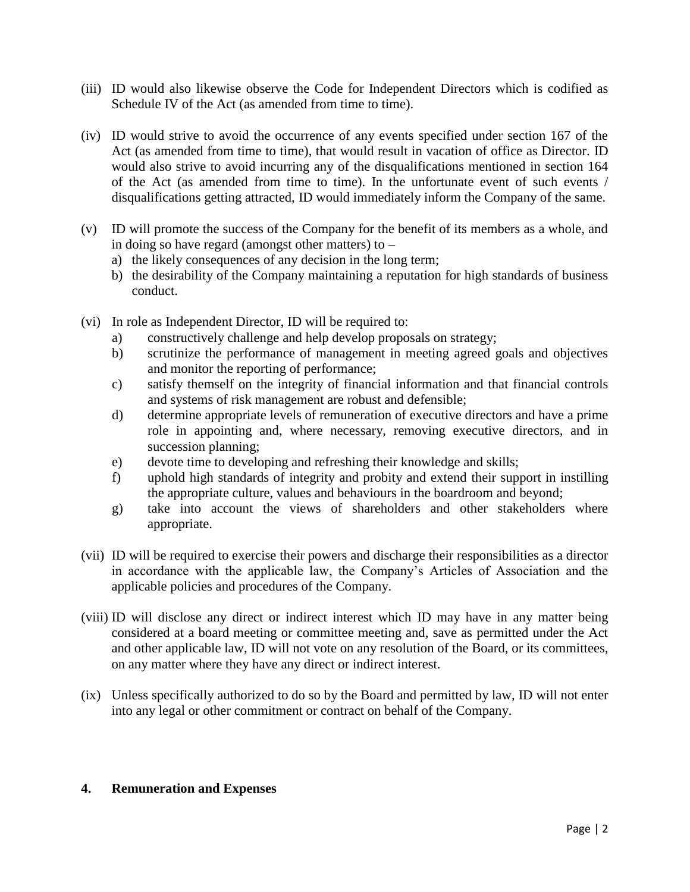- (iii) ID would also likewise observe the Code for Independent Directors which is codified as Schedule IV of the Act (as amended from time to time).
- (iv) ID would strive to avoid the occurrence of any events specified under section 167 of the Act (as amended from time to time), that would result in vacation of office as Director. ID would also strive to avoid incurring any of the disqualifications mentioned in section 164 of the Act (as amended from time to time). In the unfortunate event of such events / disqualifications getting attracted, ID would immediately inform the Company of the same.
- (v) ID will promote the success of the Company for the benefit of its members as a whole, and in doing so have regard (amongst other matters) to –
	- a) the likely consequences of any decision in the long term;
	- b) the desirability of the Company maintaining a reputation for high standards of business conduct.
- (vi) In role as Independent Director, ID will be required to:
	- a) constructively challenge and help develop proposals on strategy;
	- b) scrutinize the performance of management in meeting agreed goals and objectives and monitor the reporting of performance;
	- c) satisfy themself on the integrity of financial information and that financial controls and systems of risk management are robust and defensible;
	- d) determine appropriate levels of remuneration of executive directors and have a prime role in appointing and, where necessary, removing executive directors, and in succession planning;
	- e) devote time to developing and refreshing their knowledge and skills;
	- f) uphold high standards of integrity and probity and extend their support in instilling the appropriate culture, values and behaviours in the boardroom and beyond;
	- g) take into account the views of shareholders and other stakeholders where appropriate.
- (vii) ID will be required to exercise their powers and discharge their responsibilities as a director in accordance with the applicable law, the Company"s Articles of Association and the applicable policies and procedures of the Company.
- (viii) ID will disclose any direct or indirect interest which ID may have in any matter being considered at a board meeting or committee meeting and, save as permitted under the Act and other applicable law, ID will not vote on any resolution of the Board, or its committees, on any matter where they have any direct or indirect interest.
- (ix) Unless specifically authorized to do so by the Board and permitted by law, ID will not enter into any legal or other commitment or contract on behalf of the Company.

#### **4. Remuneration and Expenses**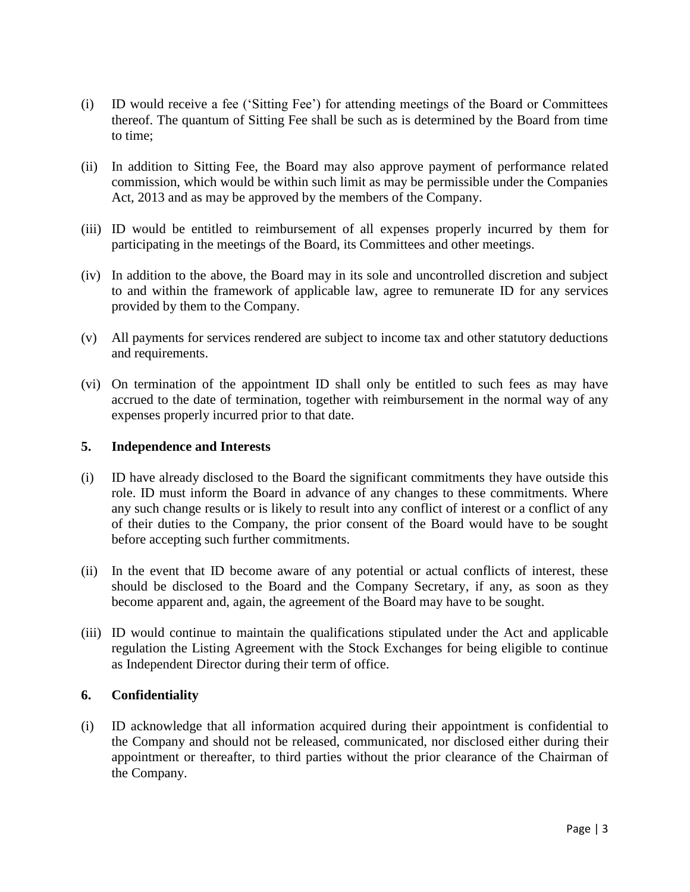- (i) ID would receive a fee ("Sitting Fee") for attending meetings of the Board or Committees thereof. The quantum of Sitting Fee shall be such as is determined by the Board from time to time;
- (ii) In addition to Sitting Fee, the Board may also approve payment of performance related commission, which would be within such limit as may be permissible under the Companies Act, 2013 and as may be approved by the members of the Company.
- (iii) ID would be entitled to reimbursement of all expenses properly incurred by them for participating in the meetings of the Board, its Committees and other meetings.
- (iv) In addition to the above, the Board may in its sole and uncontrolled discretion and subject to and within the framework of applicable law, agree to remunerate ID for any services provided by them to the Company.
- (v) All payments for services rendered are subject to income tax and other statutory deductions and requirements.
- (vi) On termination of the appointment ID shall only be entitled to such fees as may have accrued to the date of termination, together with reimbursement in the normal way of any expenses properly incurred prior to that date.

#### **5. Independence and Interests**

- (i) ID have already disclosed to the Board the significant commitments they have outside this role. ID must inform the Board in advance of any changes to these commitments. Where any such change results or is likely to result into any conflict of interest or a conflict of any of their duties to the Company, the prior consent of the Board would have to be sought before accepting such further commitments.
- (ii) In the event that ID become aware of any potential or actual conflicts of interest, these should be disclosed to the Board and the Company Secretary, if any, as soon as they become apparent and, again, the agreement of the Board may have to be sought.
- (iii) ID would continue to maintain the qualifications stipulated under the Act and applicable regulation the Listing Agreement with the Stock Exchanges for being eligible to continue as Independent Director during their term of office.

#### **6. Confidentiality**

(i) ID acknowledge that all information acquired during their appointment is confidential to the Company and should not be released, communicated, nor disclosed either during their appointment or thereafter, to third parties without the prior clearance of the Chairman of the Company.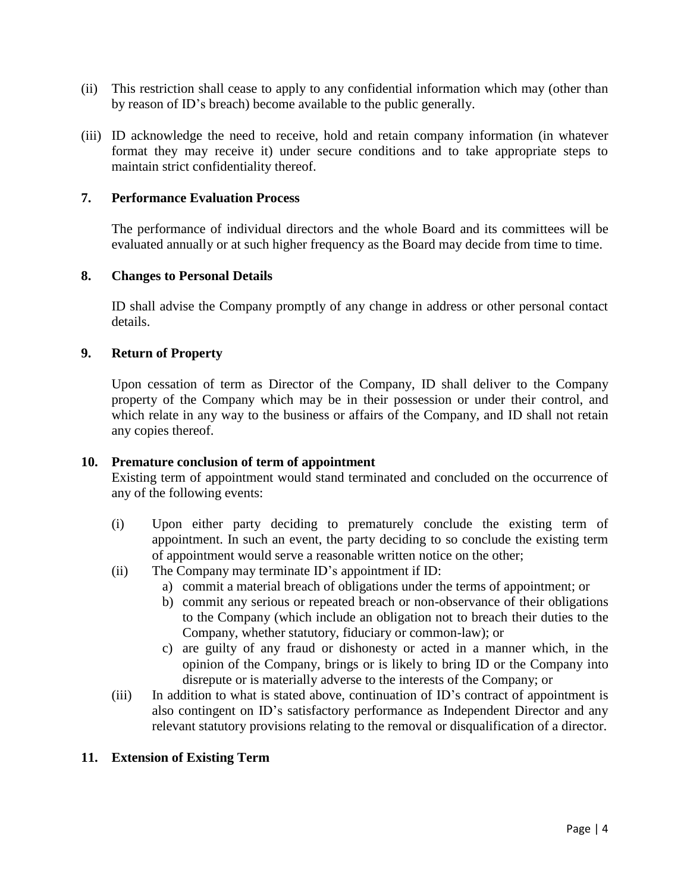- (ii) This restriction shall cease to apply to any confidential information which may (other than by reason of ID"s breach) become available to the public generally.
- (iii) ID acknowledge the need to receive, hold and retain company information (in whatever format they may receive it) under secure conditions and to take appropriate steps to maintain strict confidentiality thereof.

#### **7. Performance Evaluation Process**

The performance of individual directors and the whole Board and its committees will be evaluated annually or at such higher frequency as the Board may decide from time to time.

#### **8. Changes to Personal Details**

ID shall advise the Company promptly of any change in address or other personal contact details.

#### **9. Return of Property**

Upon cessation of term as Director of the Company, ID shall deliver to the Company property of the Company which may be in their possession or under their control, and which relate in any way to the business or affairs of the Company, and ID shall not retain any copies thereof.

#### **10. Premature conclusion of term of appointment**

Existing term of appointment would stand terminated and concluded on the occurrence of any of the following events:

- (i) Upon either party deciding to prematurely conclude the existing term of appointment. In such an event, the party deciding to so conclude the existing term of appointment would serve a reasonable written notice on the other;
- (ii) The Company may terminate ID"s appointment if ID:
	- a) commit a material breach of obligations under the terms of appointment; or
	- b) commit any serious or repeated breach or non-observance of their obligations to the Company (which include an obligation not to breach their duties to the Company, whether statutory, fiduciary or common-law); or
	- c) are guilty of any fraud or dishonesty or acted in a manner which, in the opinion of the Company, brings or is likely to bring ID or the Company into disrepute or is materially adverse to the interests of the Company; or
- (iii) In addition to what is stated above, continuation of ID"s contract of appointment is also contingent on ID"s satisfactory performance as Independent Director and any relevant statutory provisions relating to the removal or disqualification of a director.

#### **11. Extension of Existing Term**